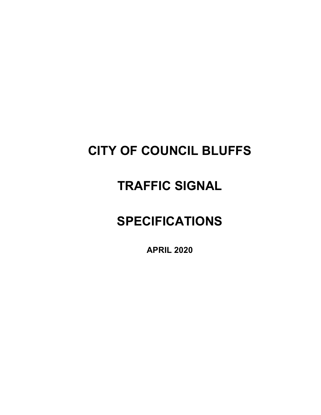# **CITY OF COUNCIL BLUFFS**

# **TRAFFIC SIGNAL**

# **SPECIFICATIONS**

**APRIL 2020**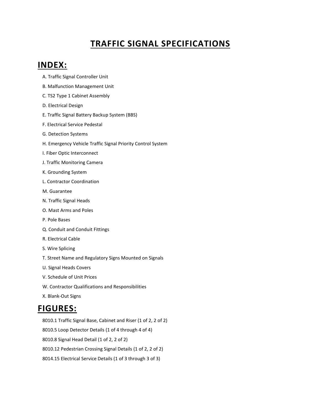## **TRAFFIC SIGNAL SPECIFICATIONS**

## **INDEX:**

- A. Traffic Signal Controller Unit
- B. Malfunction Management Unit
- C. TS2 Type 1 Cabinet Assembly
- D. Electrical Design
- E. Traffic Signal Battery Backup System (BBS)
- F. Electrical Service Pedestal
- G. Detection Systems
- H. Emergency Vehicle Traffic Signal Priority Control System
- I. Fiber Optic Interconnect
- J. Traffic Monitoring Camera
- K. Grounding System
- L. Contractor Coordination
- M. Guarantee
- N. Traffic Signal Heads
- O. Mast Arms and Poles
- P. Pole Bases
- Q. Conduit and Conduit Fittings
- R. Electrical Cable
- S. Wire Splicing
- T. Street Name and Regulatory Signs Mounted on Signals
- U. Signal Heads Covers
- V. Schedule of Unit Prices
- W. Contractor Qualifications and Responsibilities
- X. Blank-Out Signs

## **FIGURES:**

8010.1 Traffic Signal Base, Cabinet and Riser (1 of 2, 2 of 2) 8010.5 Loop Detector Details (1 of 4 through 4 of 4) 8010.8 Signal Head Detail (1 of 2, 2 of 2) 8010.12 Pedestrian Crossing Signal Details (1 of 2, 2 of 2) 8014.15 Electrical Service Details (1 of 3 through 3 of 3)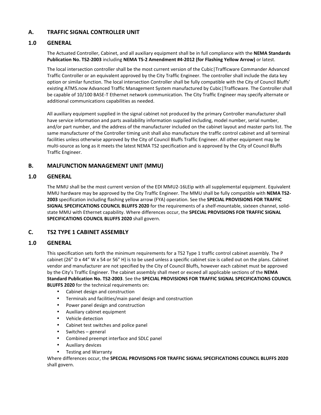## **A. TRAFFIC SIGNAL CONTROLLER UNIT**

## **1.0 GENERAL**

The Actuated Controller, Cabinet, and all auxiliary equipment shall be in full compliance with the **NEMA Standards Publication No. TS2-2003** including **NEMA TS-2 Amendment #4-2012 (for Flashing Yellow Arrow)** or latest.

The local intersection controller shall be the most current version of the Cubic|Trafficware Commander Advanced Traffic Controller or an equivalent approved by the City Traffic Engineer. The controller shall include the data key option or similar function. The local intersection Controller shall be fully compatible with the City of Council Bluffs' existing ATMS.now Advanced Traffic Management System manufactured by Cubic|Trafficware. The Controller shall be capable of 10/100 BASE-T Ethernet network communication. The City Traffic Engineer may specify alternate or additional communications capabilities as needed.

All auxiliary equipment supplied in the signal cabinet not produced by the primary Controller manufacturer shall have service information and parts availability information supplied including, model number, serial number, and/or part number, and the address of the manufacturer included on the cabinet layout and master parts list. The same manufacturer of the Controller timing unit shall also manufacture the traffic control cabinet and all terminal facilities unless otherwise approved by the City of Council Bluffs Traffic Engineer. All other equipment may be multi-source as long as it meets the latest NEMA TS2 specification and is approved by the City of Council Bluffs Traffic Engineer.

## **B. MALFUNCTION MANAGEMENT UNIT (MMU)**

## **1.0 GENERAL**

The MMU shall be the most current version of the EDI MMU2-16LEip with all supplemental equipment. Equivalent MMU hardware may be approved by the City Traffic Engineer. The MMU shall be fully compatible with **NEMA TS2- 2003** specification including flashing yellow arrow (FYA) operation. See the **SPECIAL PROVISIONS FOR TRAFFIC SIGNAL SPECIFICATIONS COUNCIL BLUFFS 2020** for the requirements of a shelf-mountable, sixteen channel, solidstate MMU with Ethernet capability. Where differences occur, the **SPECIAL PROVISIONS FOR TRAFFIC SIGNAL SPECIFICATIONS COUNCIL BLUFFS 2020** shall govern.

## **C. TS2 TYPE 1 CABINET ASSEMBLY**

## **1.0 GENERAL**

This specification sets forth the minimum requirements for a TS2 Type 1 traffic control cabinet assembly. The P cabinet (26" D x 44" W x 54 or 56" H) is to be used unless a specific cabinet size is called out on the plans. Cabinet vendor and manufacturer are not specified by the City of Council Bluffs, however each cabinet must be approved by the City's Traffic Engineer. The cabinet assembly shall meet or exceed all applicable sections of the **NEMA Standard Publication No. TS2-2003**. See the **SPECIAL PROVISIONS FOR TRAFFIC SIGNAL SPECIFICATIONS COUNCIL BLUFFS 2020** for the technical requirements on:

- Cabinet design and construction
- Terminals and facilities/main panel design and construction
- Power panel design and construction
- Auxiliary cabinet equipment
- Vehicle detection
- Cabinet test switches and police panel
- Switches general
- Combined preempt interface and SDLC panel
- Auxiliary devices
- Testing and Warranty

Where differences occur, the **SPECIAL PROVISIONS FOR TRAFFIC SIGNAL SPECIFICATIONS COUNCIL BLUFFS 2020**  shall govern.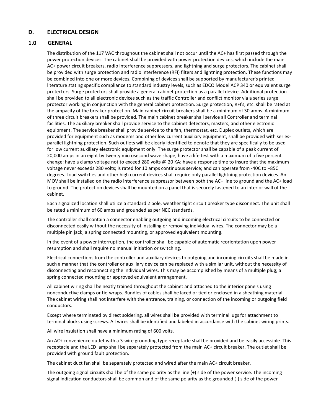## **D. ELECTRICAL DESIGN**

## **1.0 GENERAL**

The distribution of the 117 VAC throughout the cabinet shall not occur until the AC+ has first passed through the power protection devices. The cabinet shall be provided with power protection devices, which include the main AC+ power circuit breakers, radio interference suppressers, and lightning and surge protectors. The cabinet shall be provided with surge protection and radio interference (RFI) filters and lightning protection. These functions may be combined into one or more devices. Combining of devices shall be supported by manufacturer's printed literature stating specific compliance to standard industry levels, such as EDCO Model ACP 340 or equivalent surge protectors. Surge protectors shall provide a general cabinet protection as a parallel device. Additional protection shall be provided to all electronic devices such as the traffic Controller and conflict monitor via a series surge protector working in conjunction with the general cabinet protection. Surge protection, RFI's, etc. shall be rated at the ampacity of the breaker protection. Main cabinet circuit breakers shall be a minimum of 30 amps. A minimum of three circuit breakers shall be provided. The main cabinet breaker shall service all Controller and terminal facilities. The auxiliary breaker shall provide service to the cabinet detectors, masters, and other electronic equipment. The service breaker shall provide service to the fan, thermostat, etc. Duplex outlets, which are provided for equipment such as modems and other low current auxiliary equipment, shall be provided with seriesparallel lightning protection. Such outlets will be clearly identified to denote that they are specifically to be used for low current auxiliary electronic equipment only. The surge protector shall be capable of a peak current of 20,000 amps in an eight by twenty microsecond wave shape; have a life test with a maximum of a five percent change; have a clamp voltage not to exceed 280 volts @ 20 KA; have a response time to insure that the maximum voltage never exceeds 280 volts; is rated for 10 amps continuous service; and can operate from -40C to +85C degrees. Load switches and other high current devices shall require only parallel lightning protection devices. An MOV shall be installed on the radio interference suppressor between both the AC+ line to ground and the AC+ load to ground. The protection devices shall be mounted on a panel that is securely fastened to an interior wall of the cabinet.

Each signalized location shall utilize a standard 2 pole, weather tight circuit breaker type disconnect. The unit shall be rated a minimum of 60 amps and grounded as per NEC standards.

The controller shall contain a connector enabling outgoing and incoming electrical circuits to be connected or disconnected easily without the necessity of installing or removing individual wires. The connector may be a multiple pin jack; a spring connected mounting, or approved equivalent mounting.

In the event of a power interruption, the controller shall be capable of automatic reorientation upon power resumption and shall require no manual initiation or switching.

Electrical connections from the controller and auxiliary devices to outgoing and incoming circuits shall be made in such a manner that the controller or auxiliary device can be replaced with a similar unit, without the necessity of disconnecting and reconnecting the individual wires. This may be accomplished by means of a multiple plug; a spring connected mounting or approved equivalent arrangement.

All cabinet wiring shall be neatly trained throughout the cabinet and attached to the interior panels using nonconductive clamps or tie-wraps. Bundles of cables shall be laced or tied or enclosed in a sheathing material. The cabinet wiring shall not interfere with the entrance, training, or connection of the incoming or outgoing field conductors.

Except where terminated by direct soldering, all wires shall be provided with terminal lugs for attachment to terminal blocks using screws. All wires shall be identified and labeled in accordance with the cabinet wiring prints.

All wire insulation shall have a minimum rating of 600 volts.

An AC+ convenience outlet with a 3-wire grounding type receptacle shall be provided and be easily accessible. This receptacle and the LED lamp shall be separately protected from the main AC+ circuit breaker. The outlet shall be provided with ground fault protection.

The cabinet duct fan shall be separately protected and wired after the main AC+ circuit breaker.

The outgoing signal circuits shall be of the same polarity as the line (+) side of the power service. The incoming signal indication conductors shall be common and of the same polarity as the grounded (-) side of the power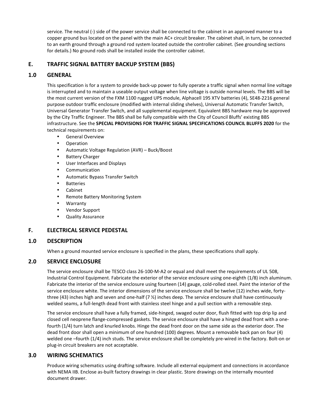service. The neutral (-) side of the power service shall be connected to the cabinet in an approved manner to a copper ground bus located on the panel with the main AC+ circuit breaker. The cabinet shall, in turn, be connected to an earth ground through a ground rod system located outside the controller cabinet. (See grounding sections for details.) No ground rods shall be installed inside the controller cabinet.

## **E. TRAFFIC SIGNAL BATTERY BACKUP SYSTEM (BBS)**

## **1.0 GENERAL**

This specification is for a system to provide back-up power to fully operate a traffic signal when normal line voltage is interrupted and to maintain a useable output voltage when line voltage is outside normal levels. The BBS will be the most current version of the FXM 1100 rugged UPS module, Alphacell 195 XTV batteries (4), SE48-2216 general purpose outdoor traffic enclosure (modified with internal sliding shelves), Universal Automatic Transfer Switch, Universal Generator Transfer Switch, and all supplemental equipment. Equivalent BBS hardware may be approved by the City Traffic Engineer. The BBS shall be fully compatible with the City of Council Bluffs' existing BBS infrastructure. See the **SPECIAL PROVISIONS FOR TRAFFIC SIGNAL SPECIFICATIONS COUNCIL BLUFFS 2020** for the technical requirements on:

• General Overview

- Operation
- Automatic Voltage Regulation (AVR) Buck/Boost
- Battery Charger
- User Interfaces and Displays
- **Communication**
- Automatic Bypass Transfer Switch
- Batteries
- Cabinet
- Remote Battery Monitoring System
- Warranty
- Vendor Support
- Quality Assurance

## **F. ELECTRICAL SERVICE PEDESTAL**

#### **1.0 DESCRIPTION**

When a ground mounted service enclosure is specified in the plans, these specifications shall apply.

## **2.0 SERVICE ENCLOSURE**

The service enclosure shall be TESCO class 26-100-M-A2 or equal and shall meet the requirements of UL 508, Industrial Control Equipment. Fabricate the exterior of the service enclosure using one-eighth (1/8) inch aluminum. Fabricate the interior of the service enclosure using fourteen (14) gauge, cold-rolled steel. Paint the interior of the service enclosure white. The interior dimensions of the service enclosure shall be twelve (12) inches wide, fortythree (43) inches high and seven and one-half (7 ½) inches deep. The service enclosure shall have continuously welded seams, a full-length dead front with stainless steel hinge and a pull section with a removable step.

The service enclosure shall have a fully framed, side-hinged, swaged outer door, flush fitted with top drip lip and closed cell neoprene flange-compressed gaskets. The service enclosure shall have a hinged dead front with a onefourth (1/4) turn latch and knurled knobs. Hinge the dead front door on the same side as the exterior door. The dead front door shall open a minimum of one hundred (100) degrees. Mount a removable back pan on four (4) welded one –fourth (1/4) inch studs. The service enclosure shall be completely pre-wired in the factory. Bolt-on or plug-in circuit breakers are not acceptable.

## **3.0 WIRING SCHEMATICS**

Produce wiring schematics using drafting software. Include all external equipment and connections in accordance with NEMA IIB. Enclose as-built factory drawings in clear plastic. Store drawings on the internally mounted document drawer.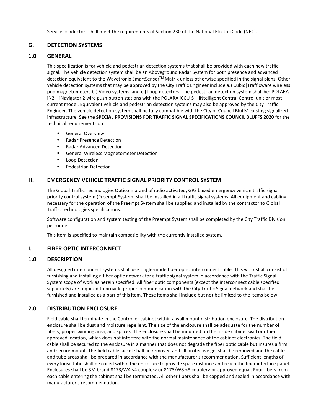Service conductors shall meet the requirements of Section 230 of the National Electric Code (NEC).

## **G. DETECTION SYSTEMS**

## **1.0 GENERAL**

This specification is for vehicle and pedestrian detection systems that shall be provided with each new traffic signal. The vehicle detection system shall be an Aboveground Radar System for both presence and advanced detection equivalent to the Wavetronix SmartSensor™ Matrix unless otherwise specified in the signal plans. Other vehicle detection systems that may be approved by the City Traffic Engineer include a.) Cubic|Trafficware wireless pod magnetometers b.) Video systems, and c.) Loop detectors. The pedestrian detection system shall be: POLARA iN2 – iNavigator 2 wire push button stations with the POLARA iCCU-S – iNtelligent Central Control unit or most current model. Equivalent vehicle and pedestrian detection systems may also be approved by the City Traffic Engineer. The vehicle detection system shall be fully compatible with the City of Council Bluffs' existing signalized infrastructure. See the **SPECIAL PROVISIONS FOR TRAFFIC SIGNAL SPECIFICATIONS COUNCIL BLUFFS 2020** for the technical requirements on:

- General Overview
- Radar Presence Detection
- Radar Advanced Detection
- General Wireless Magnetometer Detection
- Loop Detection
- Pedestrian Detection

## **H. EMERGENCY VEHICLE TRAFFIC SIGNAL PRIORITY CONTROL SYSTEM**

The Global Traffic Technologies Opticom brand of radio activated, GPS based emergency vehicle traffic signal priority control system (Preempt System) shall be installed in all traffic signal systems. All equipment and cabling necessary for the operation of the Preempt System shall be supplied and installed by the contractor to Global Traffic Technologies specifications.

Software configuration and system testing of the Preempt System shall be completed by the City Traffic Division personnel.

This item is specified to maintain compatibility with the currently installed system.

## **I. FIBER OPTIC INTERCONNECT**

## **1.0 DESCRIPTION**

All designed interconnect systems shall use single-mode fiber optic, interconnect cable. This work shall consist of furnishing and installing a fiber optic network for a traffic signal system in accordance with the Traffic Signal System scope of work as herein specified. All fiber optic components (except the interconnect cable specified separately) are required to provide proper communication with the City Traffic Signal network and shall be furnished and installed as a part of this item. These items shall include but not be limited to the items below.

## **2.0 DISTRIBUTION ENCLOSURE**

Field cable shall terminate in the Controller cabinet within a wall mount distribution enclosure. The distribution enclosure shall be dust and moisture repellent. The size of the enclosure shall be adequate for the number of fibers, proper winding area, and splices. The enclosure shall be mounted on the inside cabinet wall or other approved location, which does not interfere with the normal maintenance of the cabinet electronics. The field cable shall be secured to the enclosure in a manner that does not degrade the fiber optic cable but insures a firm and secure mount. The field cable jacket shall be removed and all protective gel shall be removed and the cables and tube areas shall be prepared in accordance with the manufacturer's recommendation. Sufficient lengths of every loose tube shall be coiled within the enclosure to provide spare distance and reach the fiber interface panel. Enclosures shall be 3M brand 8173/W4 <4 coupler> or 8173/W8 <8 coupler> or approved equal. Four fibers from each cable entering the cabinet shall be terminated. All other fibers shall be capped and sealed in accordance with manufacturer's recommendation.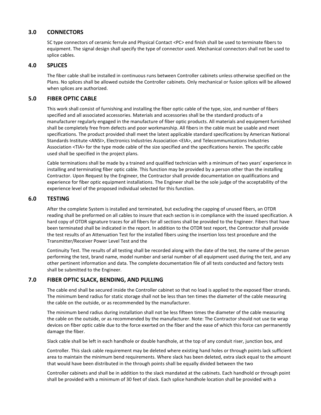## **3.0 CONNECTORS**

SC type connectors of ceramic ferrule and Physical Contact <PC> end finish shall be used to terminate fibers to equipment. The signal design shall specify the type of connector used. Mechanical connectors shall not be used to splice cables.

## **4.0 SPLICES**

The fiber cable shall be installed in continuous runs between Controller cabinets unless otherwise specified on the Plans. No splices shall be allowed outside the Controller cabinets. Only mechanical or fusion splices will be allowed when splices are authorized.

## **5.0 FIBER OPTIC CABLE**

This work shall consist of furnishing and installing the fiber optic cable of the type, size, and number of fibers specified and all associated accessories. Materials and accessories shall be the standard products of a manufacturer regularly engaged in the manufacture of fiber optic products. All materials and equipment furnished shall be completely free from defects and poor workmanship. All fibers in the cable must be usable and meet specifications. The product provided shall meet the latest applicable standard specifications by American National Standards Institute <ANSI>, Electronics Industries Association <EIA>, and Telecommunications Industries Association <TIA> for the type mode cable of the size specified and the specifications herein. The specific cable used shall be specified in the project plans.

Cable terminations shall be made by a trained and qualified technician with a minimum of two years' experience in installing and terminating fiber optic cable. This function may be provided by a person other than the installing Contractor. Upon Request by the Engineer, the Contractor shall provide documentation on qualifications and experience for fiber optic equipment installations. The Engineer shall be the sole judge of the acceptability of the experience level of the proposed individual selected for this function.

## **6.0 TESTING**

After the complete System is installed and terminated, but excluding the capping of unused fibers, an OTDR reading shall be preformed on all cables to insure that each section is in compliance with the issued specification. A hard copy of OTDR signature traces for all fibers for all sections shall be provided to the Engineer. Fibers that have been terminated shall be indicated in the report. In addition to the OTDR test report, the Contractor shall provide the test results of an Attenuation Test for the installed fibers using the insertion loss test procedure and the Transmitter/Receiver Power Level Test and the

Continuity Test. The results of all testing shall be recorded along with the date of the test, the name of the person performing the test, brand name, model number and serial number of all equipment used during the test, and any other pertinent information and data. The complete documentation file of all tests conducted and factory tests shall be submitted to the Engineer.

## **7.0 FIBER OPTIC SLACK, BENDING, AND PULLING**

The cable end shall be secured inside the Controller cabinet so that no load is applied to the exposed fiber strands. The minimum bend radius for static storage shall not be less than ten times the diameter of the cable measuring the cable on the outside, or as recommended by the manufacturer.

The minimum bend radius during installation shall not be less fifteen times the diameter of the cable measuring the cable on the outside, or as recommended by the manufacturer. Note: The Contractor should not use tie wrap devices on fiber optic cable due to the force exerted on the fiber and the ease of which this force can permanently damage the fiber.

Slack cable shall be left in each handhole or double handhole, at the top of any conduit riser, junction box, and

Controller. This slack cable requirement may be deleted where existing hand holes or through points lack sufficient area to maintain the minimum bend requirements. Where slack has been deleted, extra slack equal to the amount that would have been distributed in the through points shall be equally divided between the two

Controller cabinets and shall be in addition to the slack mandated at the cabinets. Each handhold or through point shall be provided with a minimum of 30 feet of slack. Each splice handhole location shall be provided with a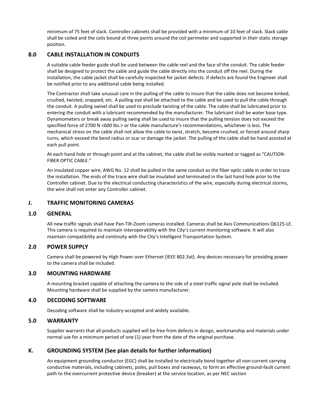minimum of 75 feet of slack. Controller cabinets shall be provided with a minimum of 10 feet of slack. Slack cable shall be coiled and the coils bound at three points around the coil perimeter and supported in their static storage position.

## **8.0 CABLE INSTALLATION IN CONDUITS**

A suitable cable feeder guide shall be used between the cable reel and the face of the conduit. The cable feeder shall be designed to protect the cable and guide the cable directly into the conduit off the reel. During the installation, the cable jacket shall be carefully inspected for jacket defects. If defects are found the Engineer shall be notified prior to any additional cable being installed.

The Contractor shall take unusual care in the pulling of the cable to insure that the cable does not become kinked, crushed, twisted, snapped, etc. A pulling eye shall be attached to the cable and be used to pull the cable through the conduit. A pulling swivel shall be used to preclude twisting of the cable. The cable shall be lubricated prior to entering the conduit with a lubricant recommended by the manufacturer. The lubricant shall be water base type. Dynamometers or break away pulling swing shall be used to insure that the pulling tension does not exceed the specified force of 2700 N <600 lbs.> or the cable manufacture's recommendations, whichever is less. The mechanical stress on the cable shall not allow the cable to twist, stretch, become crushed, or forced around sharp turns, which exceed the bend radius or scar or damage the jacket. The pulling of the cable shall be hand assisted at each pull point.

At each hand hole or through point and at the cabinet, the cable shall be visibly marked or tagged as "CAUTION-FIBER OPTIC CABLE."

An insulated copper wire, AWG No. 12 shall be pulled in the same conduit as the fiber optic cable in order to trace the installation. The ends of the trace wire shall be insulated and terminated in the last hand hole prior to the Controller cabinet. Due to the electrical conducting characteristics of the wire, especially during electrical storms, the wire shall not enter any Controller cabinet.

## **J. TRAFFIC MONITORING CAMERAS**

#### **1.0 GENERAL**

All new traffic signals shall have Pan-Tilt-Zoom cameras installed. Cameras shall be Axis Communications Q6125-LE. This camera is required to maintain interoperability with the City's current monitoring software. It will also maintain compatibility and continuity with the City's Intelligent Transportation System.

#### **2.0 POWER SUPPLY**

Camera shall be powered by High Power over Ethernet (IEEE 802.3at). Any devices necessary for providing power to the camera shall be included.

## **3.0 MOUNTING HARDWARE**

A mounting bracket capable of attaching the camera to the side of a steel traffic signal pole shall be included. Mounting hardware shall be supplied by the camera manufacturer.

#### **4.0 DECODING SOFTWARE**

Decoding software shall be industry-accepted and widely available.

#### **5.0 WARRANTY**

Supplier warrants that all products supplied will be free from defects in design, workmanship and materials under normal use for a minimum period of one (1) year from the date of the original purchase.

#### **K. GROUNDING SYSTEM (See plan details for further information)**

An equipment grounding conductor (EGC) shall be installed to electrically bond together all non-current carrying conductive materials, including cabinets, poles, pull boxes and raceways, to form an effective ground-fault current path to the overcurrent protective device (breaker) at the service location, as per NEC section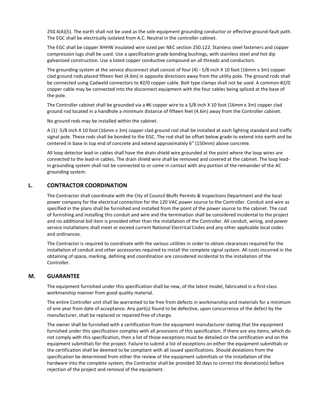250.4(A)(5). The earth shall not be used as the sole equipment grounding conductor or effective ground-fault path. The EGC shall be electrically isolated from A.C. Neutral in the controller cabinet.

The EGC shall be copper XHHW insulated wire sized per NEC section 250.122. Stainless steel fasteners and copper compression lugs shall be used. Use a specification grade bonding bushings, with stainless steel and hot dip galvanized construction. Use a listed copper conductive compound on all threads and conductors.

The grounding system at the service disconnect shall consist of four (4) - 5/8 inch X 10 foot (16mm x 3m) copper clad ground rods placed fifteen feet (4.6m) in opposite directions away from the utility pole. The ground rods shall be connected using Cadweld connectors to #2/0 copper cable. Bolt type clamps shall not be used. A common #2/0 copper cable may be connected into the disconnect equipment with the four cables being spliced at the base of the pole.

The Controller cabinet shall be grounded via a #6 copper wire to a 5/8 inch X 10 foot (16mm x 3m) copper clad ground rod located in a handhole a minimum distance of fifteen feet (4.6m) away from the Controller cabinet.

No ground rods may be installed within the cabinet.

A (1) -5/8 inch X 10 foot (16mm x 3m) copper clad ground rod shall be installed at each lighting standard and traffic signal pole. These rods shall be bonded to the EGC. The rod shall be offset below grade to extend into earth and be centered in base in top end of concrete and extend approximately 6" (150mm) above concrete.

All loop detector lead-in cables shall have the drain shield wire grounded at the point where the loop wires are connected to the lead-in cables. The drain shield wire shall be removed and covered at the cabinet. The loop leadin grounding system shall not be connected to or come in contact with any portion of the remainder of the AC grounding system.

## **L. CONTRACTOR COORDINATION**

The Contractor shall coordinate with the City of Council Bluffs Permits & Inspections Department and the local power company for the electrical connection for the 120 VAC power source to the Controller. Conduit and wire as specified in the plans shall be furnished and installed from the point of the power source to the cabinet. The cost of furnishing and installing this conduit and wire and the termination shall be considered incidental to the project and no additional bid item is provided other than the installation of the Controller. All conduit, wiring, and power service installations shall meet or exceed current National Electrical Codes and any other applicable local codes and ordinances.

The Contractor is required to coordinate with the various utilities in order to obtain clearances required for the installation of conduit and other accessories required to install the complete signal system. All costs incurred in the obtaining of space, marking, defining and coordination are considered incidental to the installation of the Controller.

## **M. GUARANTEE**

The equipment furnished under this specification shall be new, of the latest model, fabricated in a first-class workmanship manner from good quality material.

The entire Controller unit shall be warranted to be free from defects in workmanship and materials for a minimum of one year from date of acceptance. Any part(s) found to be defective, upon concurrence of the defect by the manufacturer, shall be replaced or repaired free of charge.

The owner shall be furnished with a certification from the equipment manufacturer stating that the equipment furnished under this specification complies with all provisions of this specification. If there are any items, which do not comply with this specification, then a list of those exceptions must be detailed on the certification and on the equipment submittals for the project. Failure to submit a list of exceptions on either the equipment submittals or the certification shall be deemed to be compliant with all issued specifications. Should deviations from the specification be determined from either the review of the equipment submittals or the installation of the hardware into the complete system, the Contractor shall be provided 30 days to correct the deviation(s) before rejection of the project and removal of the equipment.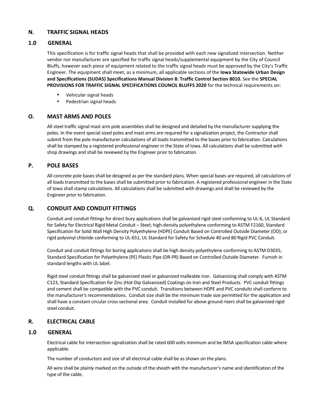## **N. TRAFFIC SIGNAL HEADS**

## **1.0 GENERAL**

This specification is for traffic signal heads that shall be provided with each new signalized intersection. Neither vendor nor manufacturer are specified for traffic signal heads/supplemental equipment by the City of Council Bluffs, however each piece of equipment related to the traffic signal heads must be approved by the City's Traffic Engineer. The equipment shall meet, as a minimum, all applicable sections of the **Iowa Statewide Urban Design and Specifications (SUDAS) Specifications Manual Division 8: Traffic Control Section 8010.** See the **SPECIAL PROVISIONS FOR TRAFFIC SIGNAL SPECIFICATIONS COUNCIL BLUFFS 2020** for the technical requirements on:

- Vehicular signal heads
- Pedestrian signal heads

## **O. MAST ARMS AND POLES**

All steel traffic signal mast arm pole assemblies shall be designed and detailed by the manufacturer supplying the poles. In the event special sized poles and mast arms are required for a signalization project, the Contractor shall submit from the pole manufacturer calculations of all loads transmitted to the bases prior to fabrication. Calculations shall be stamped by a registered professional engineer in the State of Iowa. All calculations shall be submitted with shop drawings and shall be reviewed by the Engineer prior to fabrication.

## **P. POLE BASES**

All concrete pole bases shall be designed as per the standard plans. When special bases are required, all calculations of all loads transmitted to the bases shall be submitted prior to fabrication. A registered professional engineer in the State of Iowa shall stamp calculations. All calculations shall be submitted with drawings and shall be reviewed by the Engineer prior to fabrication.

## **Q. CONDUIT AND CONDUIT FITTINGS**

Conduit and conduit fittings for direct bury applications shall be galvanized rigid steel conforming to UL-6, UL Standard for Safety for Electrical Rigid Metal Conduit – Steel; high-density polyethylene conforming to ASTM F2160, Standard Specification for Solid Wall High Density Polyethylene (HDPE) Conduit Based on Controlled Outside Diameter (OD); or rigid polyvinyl chloride conforming to UL-651, UL Standard for Safety for Schedule 40 and 80 Rigid PVC Conduit.

Conduit and conduit fittings for boring applications shall be high density polyethylene conforming to ASTM D3035, Standard Specification for Polyethylene (PE) Plastic Pipe (DR-PR) Based on Controlled Outside Diameter. Furnish in standard lengths with UL label.

Rigid steel conduit fittings shall be galvanized steel or galvanized malleable iron. Galvanizing shall comply with ASTM C123, Standard Specification for Zinc (Hot-Dip Galvanized) Coatings on Iron and Steel Products. PVC conduit fittings and cement shall be compatible with the PVC conduit. Transitions between HDPE and PVC conduits shall conform to the manufacturer's recommendations. Conduit size shall be the minimum trade size permitted for the application and shall have a constant circular cross sectional area. Conduit installed for above ground risers shall be galvanized rigid steel conduit.

## **R. ELECTRICAL CABLE**

## **1.0 GENERAL**

Electrical cable for intersection signalization shall be rated 600 volts minimum and be IMSA specification cable where applicable.

The number of conductors and size of all electrical cable shall be as shown on the plans.

All wire shall be plainly marked on the outside of the sheath with the manufacturer's name and identification of the type of the cable.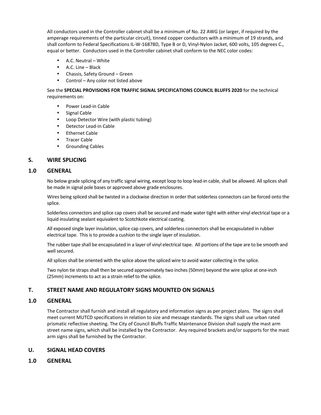All conductors used in the Controller cabinet shall be a minimum of No. 22 AWG (or larger, if required by the amperage requirements of the particular circuit), tinned copper conductors with a minimum of 19 strands, and shall conform to Federal Specifications IL-W-16878D, Type B or D, Vinyl-Nylon Jacket, 600 volts, 105 degrees C., equal or better. Conductors used in the Controller cabinet shall conform to the NEC color codes:

- A.C. Neutral White
- A.C. Line Black
- Chassis, Safety Ground Green
- Control Any color not listed above

See the **SPECIAL PROVISIONS FOR TRAFFIC SIGNAL SPECIFICATIONS COUNCIL BLUFFS 2020** for the technical requirements on:

- Power Lead-in Cable
- Signal Cable
- Loop Detector Wire (with plastic tubing)
- Detector Lead-in Cable
- Ethernet Cable
- Tracer Cable
- Grounding Cables

## **S. WIRE SPLICING**

## **1.0 GENERAL**

 No below grade splicing of any traffic signal wiring, except loop to loop lead-in cable, shall be allowed. All splices shall be made in signal pole bases or approved above grade enclosures.

 Wires being spliced shall be twisted in a clockwise direction in order that solderless connectors can be forced onto the splice.

 Solderless connectors and splice cap covers shall be secured and made water tight with either vinyl electrical tape or a liquid insulating sealant equivalent to Scotchkote electrical coating.

 All exposed single layer insulation, splice cap covers, and solderless connectors shall be encapsulated in rubber electrical tape. This is to provide a cushion to the single layer of insulation.

 The rubber tape shall be encapsulated in a layer of vinyl electrical tape. All portions of the tape are to be smooth and well secured.

All splices shall be oriented with the splice above the spliced wire to avoid water collecting in the splice.

Two nylon tie straps shall then be secured approximately two inches (50mm) beyond the wire splice at one-inch (25mm) increments to act as a strain relief to the splice.

## **T. STREET NAME AND REGULATORY SIGNS MOUNTED ON SIGNALS**

### **1.0 GENERAL**

The Contractor shall furnish and install all regulatory and information signs as per project plans. The signs shall meet current MUTCD specifications in relation to size and message standards. The signs shall use urban rated prismatic reflective sheeting. The City of Council Bluffs Traffic Maintenance Division shall supply the mast arm street name signs, which shall be installed by the Contractor. Any required brackets and/or supports for the mast arm signs shall be furnished by the Contractor.

## **U. SIGNAL HEAD COVERS**

**1.0 GENERAL**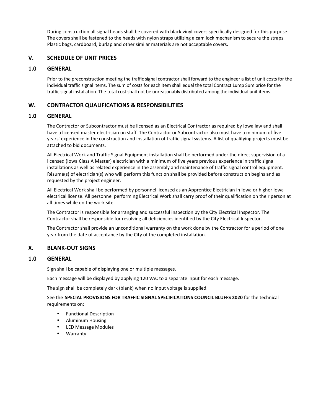During construction all signal heads shall be covered with black vinyl covers specifically designed for this purpose. The covers shall be fastened to the heads with nylon straps utilizing a cam lock mechanism to secure the straps. Plastic bags, cardboard, burlap and other similar materials are not acceptable covers.

## **V. SCHEDULE OF UNIT PRICES**

#### **1.0 GENERAL**

Prior to the preconstruction meeting the traffic signal contractor shall forward to the engineer a list of unit costs for the individual traffic signal items. The sum of costs for each item shall equal the total Contract Lump Sum price for the traffic signal installation. The total cost shall not be unreasonably distributed among the individual unit items.

## **W. CONTRACTOR QUALIFICATIONS & RESPONSIBILITIES**

## **1.0 GENERAL**

The Contractor or Subcontractor must be licensed as an Electrical Contractor as required by Iowa law and shall have a licensed master electrician on staff. The Contractor or Subcontractor also must have a minimum of five years' experience in the construction and installation of traffic signal systems. A list of qualifying projects must be attached to bid documents.

All Electrical Work and Traffic Signal Equipment installation shall be performed under the direct supervision of a licensed (Iowa Class A Master) electrician with a minimum of five years previous experience in traffic signal installations as well as related experience in the assembly and maintenance of traffic signal control equipment. Résumé(s) of electrician(s) who will perform this function shall be provided before construction begins and as requested by the project engineer.

All Electrical Work shall be performed by personnel licensed as an Apprentice Electrician in Iowa or higher Iowa electrical license. All personnel performing Electrical Work shall carry proof of their qualification on their person at all times while on the work site.

The Contractor is responsible for arranging and successful inspection by the City Electrical Inspector. The Contractor shall be responsible for resolving all deficiencies identified by the City Electrical Inspector.

The Contractor shall provide an unconditional warranty on the work done by the Contractor for a period of one year from the date of acceptance by the City of the completed installation.

## **X. BLANK-OUT SIGNS**

## **1.0 GENERAL**

Sign shall be capable of displaying one or multiple messages.

Each message will be displayed by applying 120 VAC to a separate input for each message.

The sign shall be completely dark (blank) when no input voltage is supplied.

See the **SPECIAL PROVISIONS FOR TRAFFIC SIGNAL SPECIFICATIONS COUNCIL BLUFFS 2020** for the technical requirements on:

- Functional Description
- Aluminum Housing
- LED Message Modules
- Warranty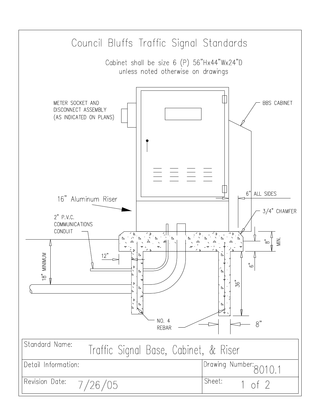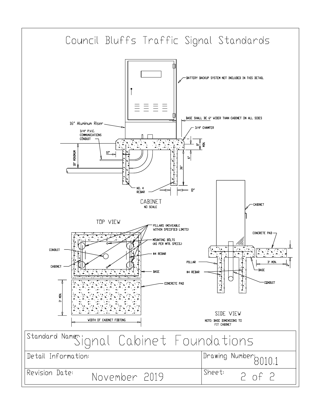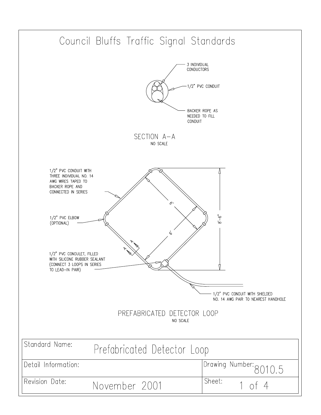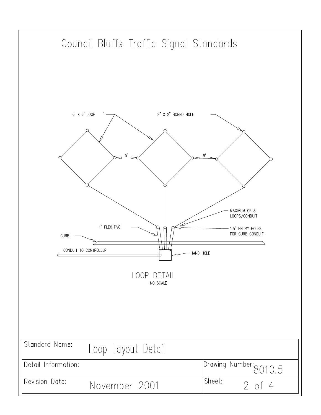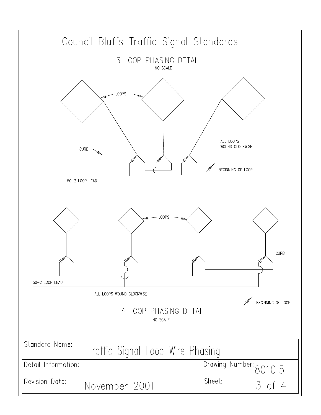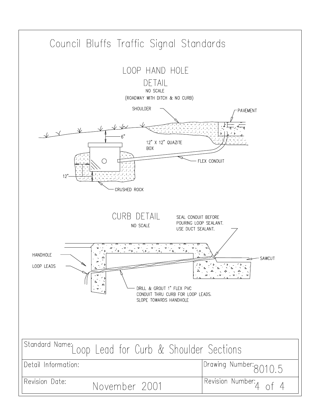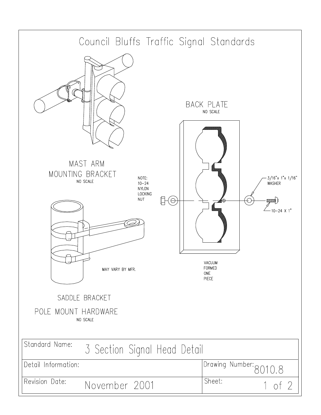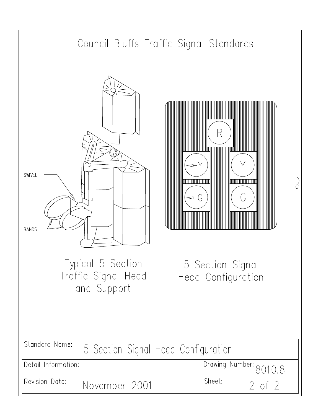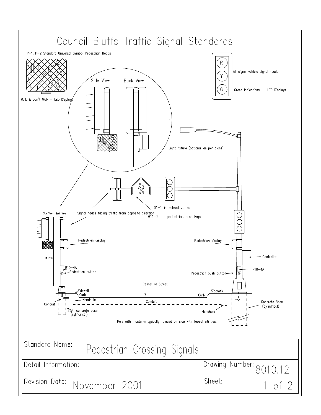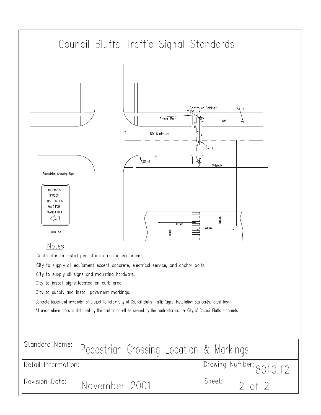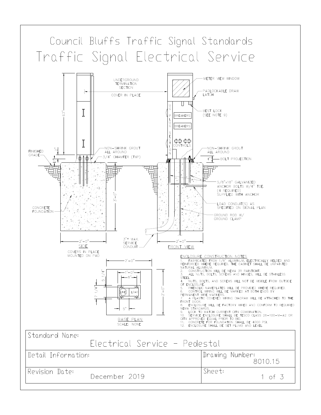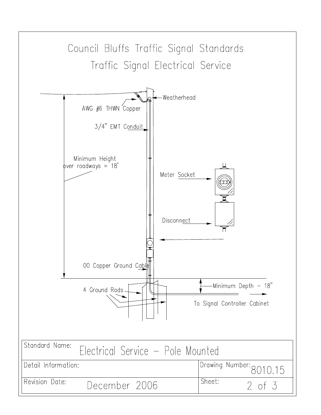